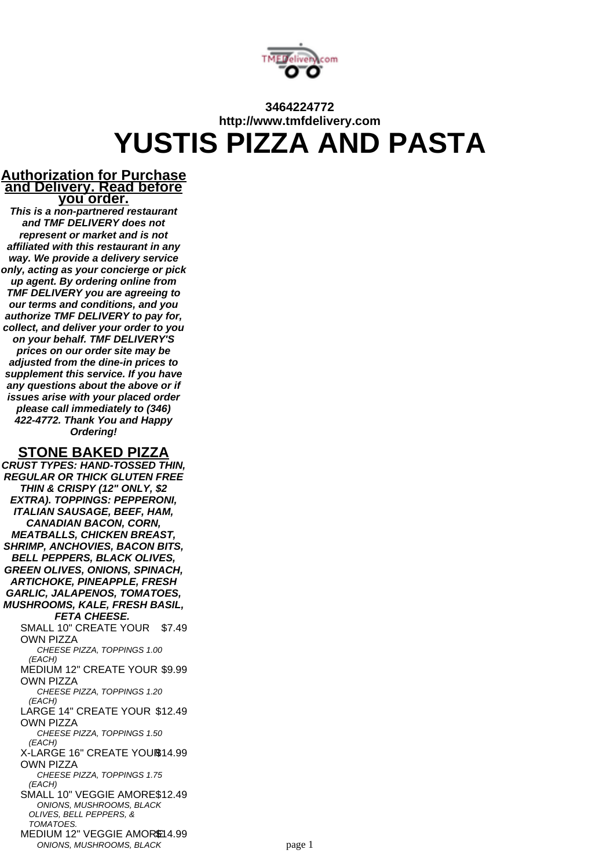

# **3464224772 http://www.tmfdelivery.com YUSTIS PIZZA AND PASTA**

### **Authorization for Purchase and Delivery. Read before you order.**

**This is a non-partnered restaurant and TMF DELIVERY does not represent or market and is not affiliated with this restaurant in any way. We provide a delivery service only, acting as your concierge or pick up agent. By ordering online from TMF DELIVERY you are agreeing to our terms and conditions, and you authorize TMF DELIVERY to pay for, collect, and deliver your order to you on your behalf. TMF DELIVERY'S prices on our order site may be adjusted from the dine-in prices to supplement this service. If you have any questions about the above or if issues arise with your placed order please call immediately to (346) 422-4772. Thank You and Happy Ordering!**

### **STONE BAKED PIZZA**

**CRUST TYPES: HAND-TOSSED THIN, REGULAR OR THICK GLUTEN FREE THIN & CRISPY (12" ONLY, \$2 EXTRA). TOPPINGS: PEPPERONI, ITALIAN SAUSAGE, BEEF, HAM, CANADIAN BACON, CORN, MEATBALLS, CHICKEN BREAST, SHRIMP, ANCHOVIES, BACON BITS, BELL PEPPERS, BLACK OLIVES, GREEN OLIVES, ONIONS, SPINACH, ARTICHOKE, PINEAPPLE, FRESH GARLIC, JALAPENOS, TOMATOES, MUSHROOMS, KALE, FRESH BASIL, FETA CHEESE.** SMALL 10" CREATE YOUR \$7.49 OWN PIZZA CHEESE PIZZA, TOPPINGS 1.00 (EACH) MEDIUM 12" CREATE YOUR \$9.99 OWN PIZZA CHEESE PIZZA, TOPPINGS 1.20 (EACH) LARGE 14" CREATE YOUR \$12.49 OWN PIZZA CHEESE PIZZA, TOPPINGS 1.50 (EACH) X-LARGE 16" CREATE YOUR \$14.99 OWN PIZZA CHEESE PIZZA, TOPPINGS 1.75 (EACH) SMALL 10" VEGGIE AMORE\$12.49 ONIONS, MUSHROOMS, BLACK OLIVES, BELL PEPPERS, & TOMATOES. MEDIUM 12" VEGGIE AMORE14.99 ONIONS, MUSHROOMS, BLACK page 1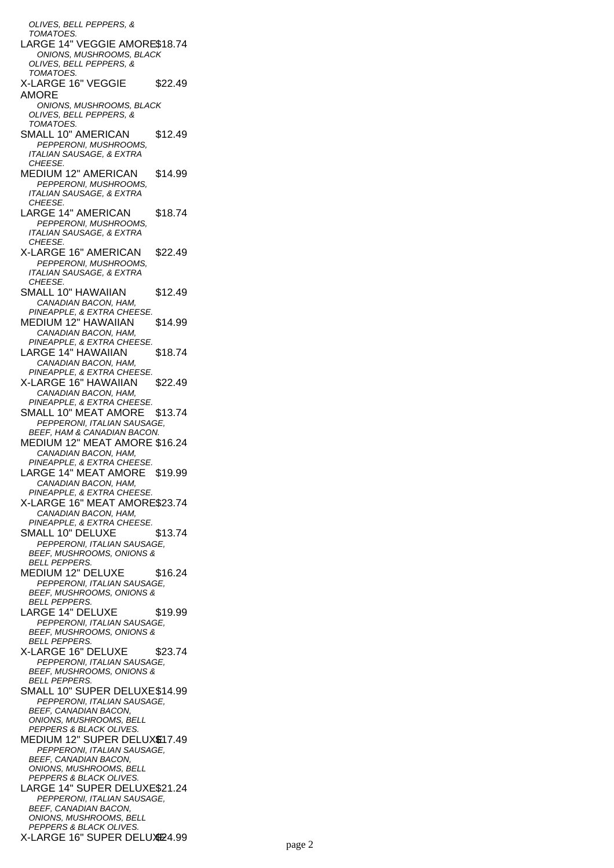OLIVES, BELL PEPPERS, & TOMATOES. LARGE 14" VEGGIE AMORE\$18.74 ONIONS, MUSHROOMS, BLACK OLIVES, BELL PEPPERS, & TOMATOES. X-LARGE 16" VEGGIE AMORE \$22.49 ONIONS, MUSHROOMS, BLACK OLIVES, BELL PEPPERS, & TOMATOES. SMALL 10" AMERICAN \$12.49 PEPPERONI, MUSHROOMS, ITALIAN SAUSAGE, & EXTRA **CHEESE** MEDIUM 12" AMERICAN \$14.99 PEPPERONI, MUSHROOMS, ITALIAN SAUSAGE, & EXTRA CHEESE. LARGE 14" AMERICAN \$18.74 PEPPERONI, MUSHROOMS, ITALIAN SAUSAGE, & EXTRA CHEESE. X-LARGE 16" AMERICAN \$22.49 PEPPERONI, MUSHROOMS, ITALIAN SAUSAGE, & EXTRA CHEESE. SMALL 10" HAWAIIAN \$12.49 CANADIAN BACON, HAM, PINEAPPLE, & EXTRA CHEESE. MEDIUM 12" HAWAIIAN \$14.99 CANADIAN BACON, HAM, PINEAPPLE, & EXTRA CHEESE. LARGE 14" HAWAIIAN \$18.74 CANADIAN BACON, HAM, PINEAPPLE, & EXTRA CHEESE. X-LARGE 16" HAWAIIAN \$22.49 CANADIAN BACON, HAM, PINEAPPLE, & EXTRA CHEESE. SMALL 10" MEAT AMORE \$13.74 PEPPERONI, ITALIAN SAUSAGE, BEEF, HAM & CANADIAN BACON. MEDIUM 12" MEAT AMORE \$16.24 CANADIAN BACON, HAM, PINEAPPLE, & EXTRA CHEESE. LARGE 14" MEAT AMORE \$19.99 CANADIAN BACON, HAM, PINEAPPLE, & EXTRA CHEESE. X-LARGE 16" MEAT AMORE\$23.74 CANADIAN BACON, HAM, PINEAPPLE, & EXTRA CHEESE. SMALL 10" DELUXE \$13.74 PEPPERONI, ITALIAN SAUSAGE, BEEF, MUSHROOMS, ONIONS & BELL PEPPERS. MEDIUM 12" DELUXE \$16.24 PEPPERONI, ITALIAN SAUSAGE, BEEF, MUSHROOMS, ONIONS & BELL PEPPERS. LARGE 14" DELUXE \$19.99 PEPPERONI, ITALIAN SAUSAGE, BEEF, MUSHROOMS, ONIONS & **BELL PEPPERS** X-LARGE 16" DELUXE \$23.74 PEPPERONI, ITALIAN SAUSAGE, BEEF, MUSHROOMS, ONIONS & BELL PEPPERS. SMALL 10" SUPER DELUXE\$14.99 PEPPERONI, ITALIAN SAUSAGE, BEEF, CANADIAN BACON, ONIONS, MUSHROOMS, BELL PEPPERS & BLACK OLIVES. MEDIUM 12" SUPER DELUX<sup>6</sup>17.49 PEPPERONI, ITALIAN SAUSAGE, BEEF, CANADIAN BACON, ONIONS, MUSHROOMS, BELL PEPPERS & BLACK OLIVES. LARGE 14" SUPER DELUXE\$21.24 PEPPERONI, ITALIAN SAUSAGE, BEEF, CANADIAN BACON, ONIONS, MUSHROOMS, BELL PEPPERS & BLACK OLIVES. X-LARGE 16" SUPER DELUXE24.99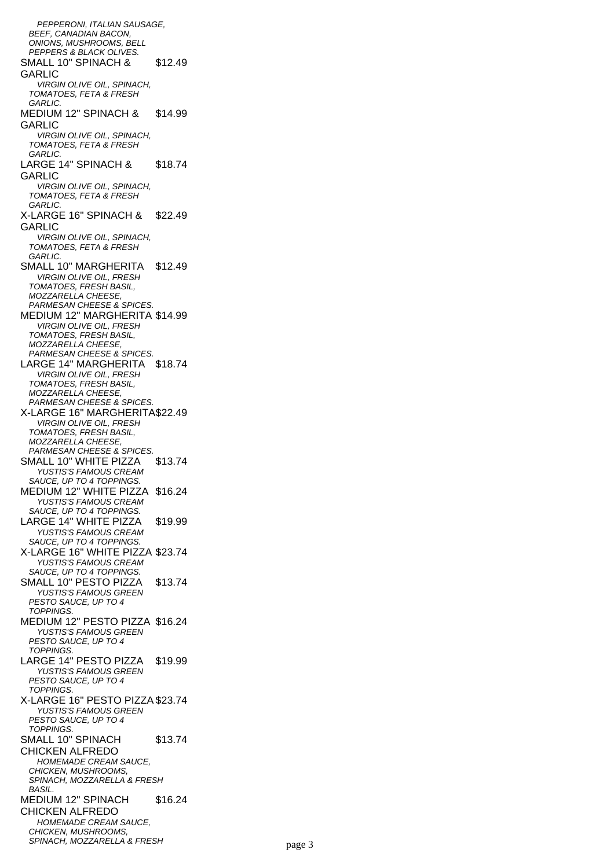PEPPERONI, ITALIAN SAUSAGE, BEEF, CANADIAN BACON, ONIONS, MUSHROOMS, BELL PEPPERS & BLACK OLIVES. SMALL 10" SPINACH & GARLIC \$12.49 VIRGIN OLIVE OIL, SPINACH, TOMATOES, FETA & FRESH GARLIC. MEDIUM 12" SPINACH & GARLIC \$14.99 VIRGIN OLIVE OIL, SPINACH, TOMATOES, FETA & FRESH **GARLIC.** LARGE 14" SPINACH & GARLIC \$18.74 VIRGIN OLIVE OIL, SPINACH, TOMATOES, FETA & FRESH **GARLIC.** X-LARGE 16" SPINACH & GARLIC \$22.49 VIRGIN OLIVE OIL, SPINACH, TOMATOES, FETA & FRESH GARLIC. SMALL 10" MARGHERITA \$12.49 VIRGIN OLIVE OIL, FRESH TOMATOES, FRESH BASIL, MOZZARELLA CHEESE, PARMESAN CHEESE & SPICES. MEDIUM 12" MARGHERITA \$14.99 VIRGIN OLIVE OIL, FRESH TOMATOES, FRESH BASIL, MOZZARELLA CHEESE PARMESAN CHEESE & SPICES. LARGE 14" MARGHERITA \$18.74 VIRGIN OLIVE OIL, FRESH TOMATOES, FRESH BASIL, MOZZARELLA CHEESE, PARMESAN CHEESE & SPICES. X-LARGE 16" MARGHERITA\$22.49 VIRGIN OLIVE OIL, FRESH TOMATOES, FRESH BASIL, MOZZARELLA CHEESE, PARMESAN CHEESE & SPICES. SMALL 10" WHITE PIZZA \$13.74 YUSTIS'S FAMOUS CREAM SAUCE, UP TO 4 TOPPINGS. MEDIUM 12" WHITE PIZZA \$16.24 YUSTIS'S FAMOUS CREAM SAUCE, UP TO 4 TOPPINGS. LARGE 14" WHITE PIZZA \$19.99 YUSTIS'S FAMOUS CREAM SAUCE, UP TO 4 TOPPINGS. X-LARGE 16" WHITE PIZZA \$23.74 YUSTIS'S FAMOUS CREAM SAUCE, UP TO 4 TOPPINGS. SMALL 10" PESTO PIZZA \$13.74 YUSTIS'S FAMOUS GREEN PESTO SAUCE, UP TO 4 TOPPINGS. MEDIUM 12" PESTO PIZZA \$16.24 YUSTIS'S FAMOUS GREEN PESTO SAUCE, UP TO 4 TOPPINGS. LARGE 14" PESTO PIZZA \$19.99 YUSTIS'S FAMOUS GREEN PESTO SAUCE, UP TO 4 **TOPPINGS** X-LARGE 16" PESTO PIZZA \$23.74 YUSTIS'S FAMOUS GREEN PESTO SAUCE, UP TO 4 TOPPINGS. SMALL 10" SPINACH CHICKEN ALFREDO \$13.74 HOMEMADE CREAM SAUCE, CHICKEN, MUSHROOMS, SPINACH, MOZZARELLA & FRESH BASIL. MEDIUM 12" SPINACH CHICKEN ALFREDO \$16.24 HOMEMADE CREAM SAUCE, CHICKEN, MUSHROOMS, SPINACH, MOZZARELLA & FRESH page 3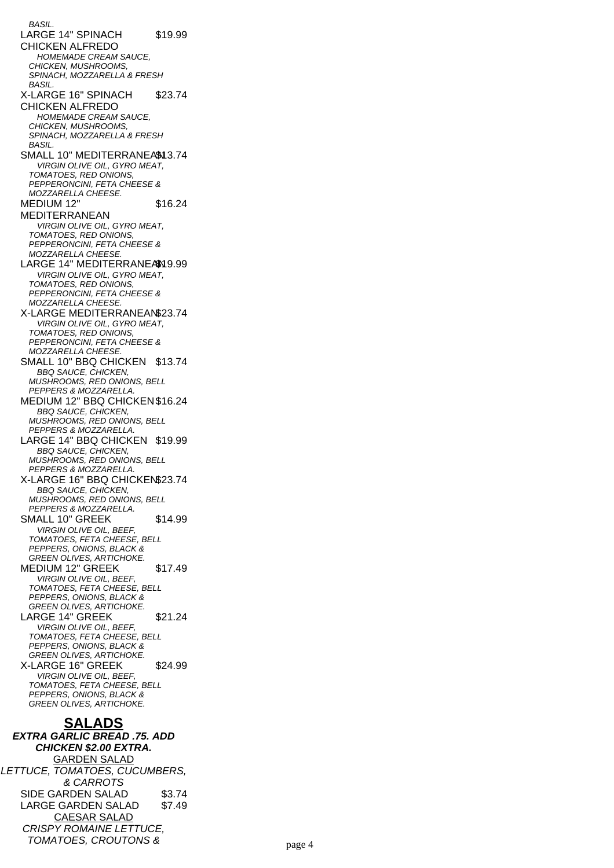**BASIL** LARGE 14" SPINACH CHICKEN ALFREDO \$19.99 HOMEMADE CREAM SAUCE, CHICKEN, MUSHROOMS, SPINACH, MOZZARELLA & FRESH BASIL. X-LARGE 16" SPINACH CHICKEN ALFREDO \$23.74 HOMEMADE CREAM SAUCE, CHICKEN, MUSHROOMS, SPINACH, MOZZARELLA & FRESH **BASIL** SMALL 10" MEDITERRANEAN 3.74 VIRGIN OLIVE OIL, GYRO MEAT, TOMATOES, RED ONIONS, PEPPERONCINI, FETA CHEESE & MOZZARELLA CHEESE. MEDIUM 12" MEDITERRANEAN \$16.24 VIRGIN OLIVE OIL, GYRO MEAT, TOMATOES, RED ONIONS, PEPPERONCINI, FETA CHEESE & MOZZARELLA CHEESE. LARGE 14" MEDITERRANEAN 9.99 VIRGIN OLIVE OIL, GYRO MEAT, TOMATOES, RED ONIONS, PEPPERONCINI, FETA CHEESE & MOZZARELLA CHEESE. X-LARGE MEDITERRANEAN\$23.74 VIRGIN OLIVE OIL, GYRO MEAT, TOMATOES, RED ONIONS, PEPPERONCINI, FETA CHEESE & MOZZARELLA CHEESE SMALL 10" BBQ CHICKEN \$13.74 BBQ SAUCE, CHICKEN, MUSHROOMS, RED ONIONS, BELL PEPPERS & MOZZARELLA. MEDIUM 12" BBQ CHICKEN\$16.24 BBQ SAUCE, CHICKEN, MUSHROOMS, RED ONIONS, BELL PEPPERS & MOZZARELLA. LARGE 14" BBQ CHICKEN \$19.99 BBQ SAUCE, CHICKEN, MUSHROOMS, RED ONIONS, BELL PEPPERS & MOZZARELLA. X-LARGE 16" BBQ CHICKEN\$23.74 BBQ SAUCE, CHICKEN, MUSHROOMS, RED ONIONS, BELL PEPPERS & MOZZARELLA. SMALL 10" GREEK \$14.99 VIRGIN OLIVE OIL, BEEF, TOMATOES, FETA CHEESE, BELL PEPPERS, ONIONS, BLACK & GREEN OLIVES, ARTICHOKE. MEDIUM 12" GREEK \$17.49 **VIRGIN OLIVE OIL, BEEF** TOMATOES, FETA CHEESE, BELL PEPPERS, ONIONS, BLACK & GREEN OLIVES, ARTICHOKE. LARGE 14" GREEK \$21.24 VIRGIN OLIVE OIL, BEEF, TOMATOES, FETA CHEESE, BELL PEPPERS, ONIONS, BLACK & GREEN OLIVES, ARTICHOKE. X-LARGE 16" GREEK \$24.99 VIRGIN OLIVE OIL, BEEF TOMATOES, FETA CHEESE, BELL PEPPERS, ONIONS, BLACK & GREEN OLIVES, ARTICHOKE. **SALADS EXTRA GARLIC BREAD .75. ADD CHICKEN \$2.00 EXTRA.** GARDEN SALAD LETTUCE, TOMATOES, CUCUMBERS, & CARROTS SIDE GARDEN SALAD \$3.74 LARGE GARDEN SALAD \$7.49 CAESAR SALAD

CRISPY ROMAINE LETTUCE, TOMATOES, CROUTONS & page 4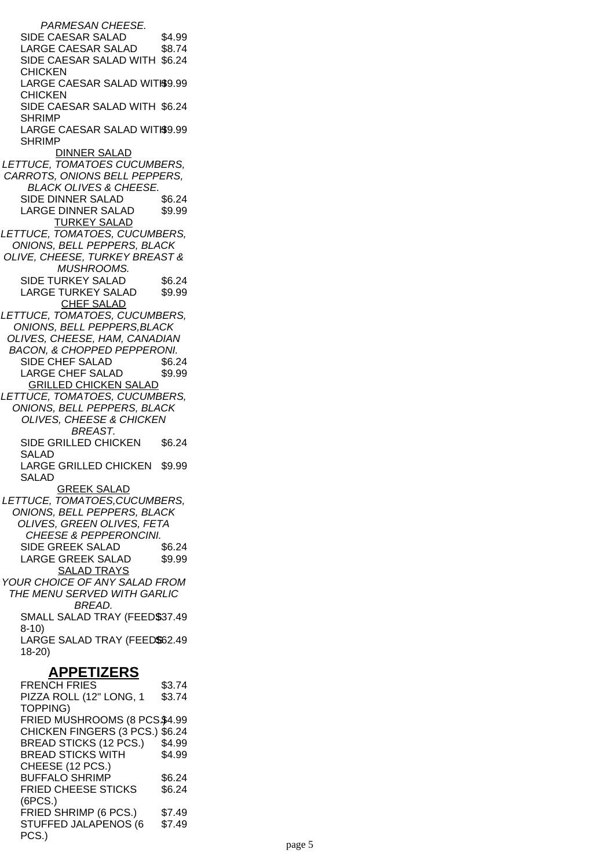PARMESAN CHEESE. SIDE CAESAR SALAD \$4.99 LARGE CAESAR SALAD \$8.74 SIDE CAESAR SALAD WITH \$6.24 CHICKEN LARGE CAESAR SALAD WITH \$9.99 CHICKEN SIDE CAESAR SALAD WITH \$6.24 SHRIMP LARGE CAESAR SALAD WITH \$9.99 SHRIMP DINNER SALAD LETTUCE, TOMATOES CUCUMBERS, CARROTS, ONIONS BELL PEPPERS, BLACK OLIVES & CHEESE. SIDE DINNER SALAD \$6.24 LARGE DINNER SALAD \$9.99 TURKEY SALAD LETTUCE, TOMATOES, CUCUMBERS, ONIONS, BELL PEPPERS, BLACK OLIVE, CHEESE, TURKEY BREAST & MUSHROOMS. SIDE TURKEY SALAD \$6.24 LARGE TURKEY SALAD \$9.99 CHEF SALAD LETTUCE, TOMATOES, CUCUMBERS, ONIONS, BELL PEPPERS,BLACK OLIVES, CHEESE, HAM, CANADIAN BACON, & CHOPPED PEPPERONI. SIDE CHEF SALAD \$6.24 LARGE CHEF SALAD \$9.99 GRILLED CHICKEN SALAD LETTUCE, TOMATOES, CUCUMBERS, ONIONS, BELL PEPPERS, BLACK OLIVES, CHEESE & CHICKEN BREAST. SIDE GRILLED CHICKEN SALAD \$6.24 LARGE GRILLED CHICKEN \$9.99 SALAD GREEK SALAD LETTUCE, TOMATOES,CUCUMBERS, ONIONS, BELL PEPPERS, BLACK OLIVES, GREEN OLIVES, FETA CHEESE & PEPPERONCINI. SIDE GREEK SALAD \$6.24 LARGE GREEK SALAD \$9.99 SALAD TRAYS YOUR CHOICE OF ANY SALAD FROM THE MENU SERVED WITH GARLIC BREAD. SMALL SALAD TRAY (FEED\$37.49 8-10) LARGE SALAD TRAY (FEED\$62.49 18-20) **APPETIZERS** FRENCH FRIES \$3.74 PIZZA ROLL (12" LONG, 1 TOPPING) \$3.74 FRIED MUSHROOMS (8 PCS\$4.99 CHICKEN FINGERS (3 PCS.) \$6.24 BREAD STICKS (12 PCS.) \$4.99 BREAD STICKS WITH CHEESE (12 PCS.) \$4.99 BUFFALO SHRIMP \$6.24 FRIED CHEESE STICKS (6PCS.) \$6.24 FRIED SHRIMP (6 PCS.) \$7.49 STUFFED JALAPENOS (6 \$7.49

PCS.)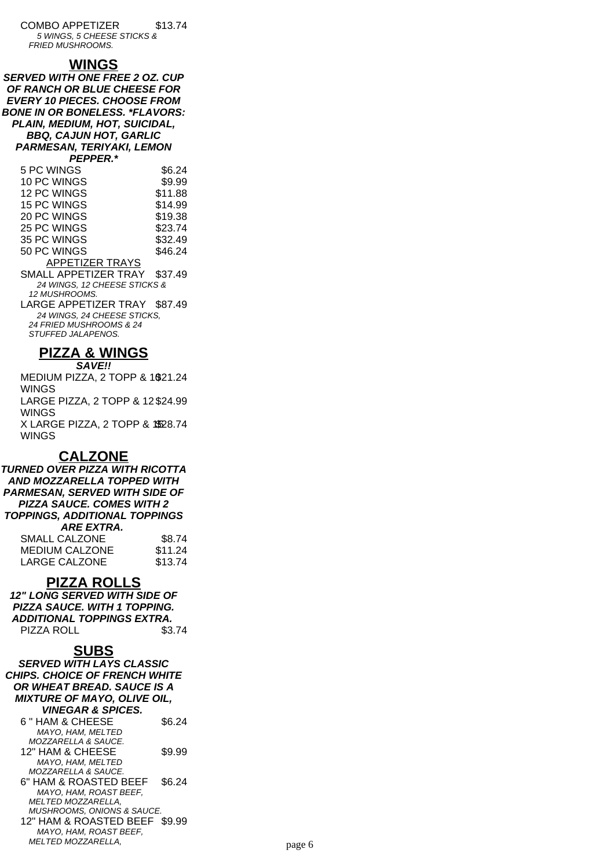COMBO APPETIZER \$13.74 5 WINGS, 5 CHEESE STICKS & FRIED MUSHROOMS.

#### **WINGS**

**SERVED WITH ONE FREE 2 OZ. CUP OF RANCH OR BLUE CHEESE FOR EVERY 10 PIECES. CHOOSE FROM BONE IN OR BONELESS. \*FLAVORS: PLAIN, MEDIUM, HOT, SUICIDAL, BBQ, CAJUN HOT, GARLIC PARMESAN, TERIYAKI, LEMON PEPPER.\*** 5 PC WINGS \$6.24 10 PC WINGS \$9.99 12 PC WINGS \$11.88 15 PC WINGS \$14.99 20 PC WINGS \$19.38

- 25 PC WINGS \$23.74 35 PC WINGS \$32.49 50 PC WINGS \$46.24
- APPETIZER TRAYS
- SMALL APPETIZER TRAY \$37.49 24 WINGS, 12 CHEESE STICKS & 12 MUSHROOMS. LARGE APPETIZER TRAY \$87.49 24 WINGS, 24 CHEESE STICKS,
- 24 FRIED MUSHROOMS & 24 STUFFED JALAPENOS.

# **PIZZA & WINGS**

**SAVE!!** MEDIUM PIZZA, 2 TOPP & 1\$21.24 WINGS LARGE PIZZA, 2 TOPP & 12 \$24.99 WINGS X LARGE PIZZA, 2 TOPP & 15 \$28.74 WINGS

### **CALZONE**

**TURNED OVER PIZZA WITH RICOTTA AND MOZZARELLA TOPPED WITH PARMESAN, SERVED WITH SIDE OF PIZZA SAUCE. COMES WITH 2 TOPPINGS, ADDITIONAL TOPPINGS ARE EXTRA.**  $SMAII CAI ZONF$  \$8.74

| UIVIALL UALLUINL      | יד <i>ו</i> .טש |
|-----------------------|-----------------|
| <b>MEDIUM CALZONE</b> | \$11.24         |
| LARGE CALZONE         | \$13.74         |

#### **PIZZA ROLLS**

**12" LONG SERVED WITH SIDE OF PIZZA SAUCE. WITH 1 TOPPING. ADDITIONAL TOPPINGS EXTRA.** PIZZA ROLL \$3.74

#### **SUBS**

**SERVED WITH LAYS CLASSIC CHIPS. CHOICE OF FRENCH WHITE OR WHEAT BREAD. SAUCE IS A MIXTURE OF MAYO, OLIVE OIL, VINEGAR & SPICES.** 6 " HAM & CHEESE \$6.24 MAYO, HAM, MELTED MOZZARELLA & SAUCE. 12" HAM & CHEESE \$9.99 MAYO, HAM, MELTED MOZZARELLA & SAUCE. 6" HAM & ROASTED BEEF \$6.24 MAYO, HAM, ROAST BEEF, MELTED MOZZARELLA, MUSHROOMS, ONIONS & SAUCE. 12" HAM & ROASTED BEEF \$9.99 MAYO, HAM, ROAST BEEF, MELTED MOZZARELLA, page 6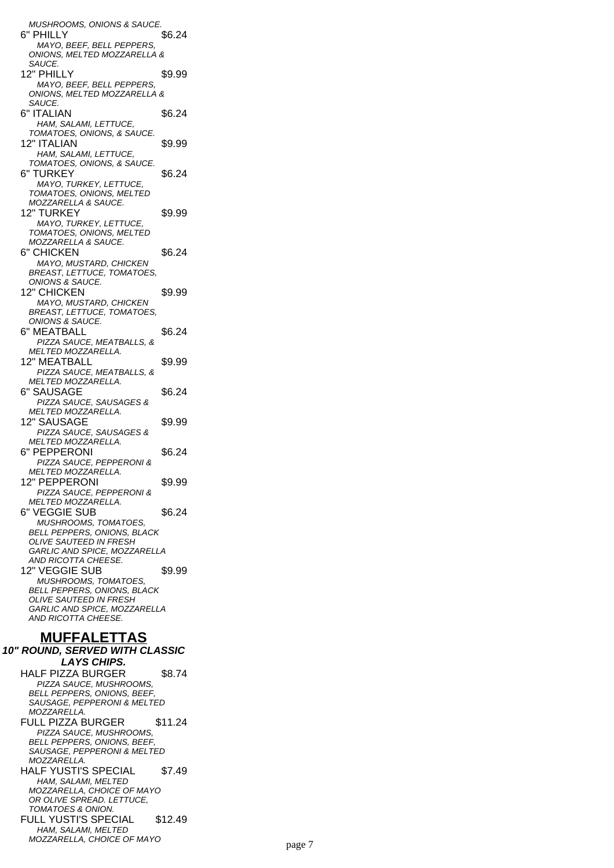MUSHROOMS, ONIONS & SAUCE. 6" PHILLY \$6.24 MAYO, BEEF, BELL PEPPERS, ONIONS, MELTED MOZZARELLA & SAUCE. 12" PHILLY \$9.99 MAYO, BEEF, BELL PEPPERS, ONIONS, MELTED MOZZARELLA & SAUCE. 6" ITALIAN \$6.24 HAM, SALAMI, LETTUCE, TOMATOES, ONIONS, & SAUCE. 12" ITALIAN \$9.99 HAM, SALAMI, LETTUCE, TOMATOES, ONIONS, & SAUCE. 6" TURKEY \$6.24 MAYO, TURKEY, LETTUCE, TOMATOES, ONIONS, MELTED MOZZARELLA & SAUCE. 12" TURKEY \$9.99 MAYO, TURKEY, LETTUCE, TOMATOES, ONIONS, MELTED MOZZARELLA & SAUCE. 6" CHICKEN \$6.24 MAYO, MUSTARD, CHICKEN BREAST, LETTUCE, TOMATOES. ONIONS & SAUCE. 12" CHICKEN \$9.99 MAYO, MUSTARD, CHICKEN BREAST, LETTUCE, TOMATOES, ONIONS & SAUCE. 6" MEATBALL \$6.24 PIZZA SAUCE, MEATBALLS, & MELTED MOZZARELLA. 12" MEATBALL \$9.99 PIZZA SAUCE, MEATBALLS, & MELTED MOZZARELLA. 6" SAUSAGE \$6.24 PIZZA SAUCE, SAUSAGES & MELTED MOZZARELLA. 12" SAUSAGE \$9.99 PIZZA SAUCE, SAUSAGES & MELTED MOZZARELLA. 6" PEPPERONI \$6.24 PIZZA SAUCE, PEPPERONI & MELTED MOZZARELLA. 12" PEPPERONI \$9.99 PIZZA SAUCE, PEPPERONI & MELTED MOZZARELLA. 6" VEGGIE SUB \$6.24 MUSHROOMS, TOMATOES, BELL PEPPERS, ONIONS, BLACK OLIVE SAUTEED IN FRESH GARLIC AND SPICE, MOZZARELLA AND RICOTTA CHEESE. 12" VEGGIE SUB \$9.99 MUSHROOMS, TOMATOES, BELL PEPPERS, ONIONS, BLACK OLIVE SAUTEED IN FRESH GARLIC AND SPICE, MOZZARELLA AND RICOTTA CHEESE. **MUFFALETTAS 10" ROUND, SERVED WITH CLASSIC LAYS CHIPS.** HALF PIZZA BURGER \$8.74 PIZZA SAUCE, MUSHROOMS, BELL PEPPERS, ONIONS, BEEF, SAUSAGE, PEPPERONI & MELTED MOZZARELLA. FULL PIZZA BURGER \$11.24 PIZZA SAUCE, MUSHROOMS, BELL PEPPERS, ONIONS, BEEF SAUSAGE, PEPPERONI & MELTED MOZZARELLA. HALF YUSTI'S SPECIAL \$7.49 HAM, SALAMI, MELTED MOZZARELLA, CHOICE OF MAYO OR OLIVE SPREAD. LETTUCE, TOMATOES & ONION. FULL YUSTI'S SPECIAL \$12.49

HAM, SALAMI, MELTED

MOZZÁRELLA, CHOICE OF MAYO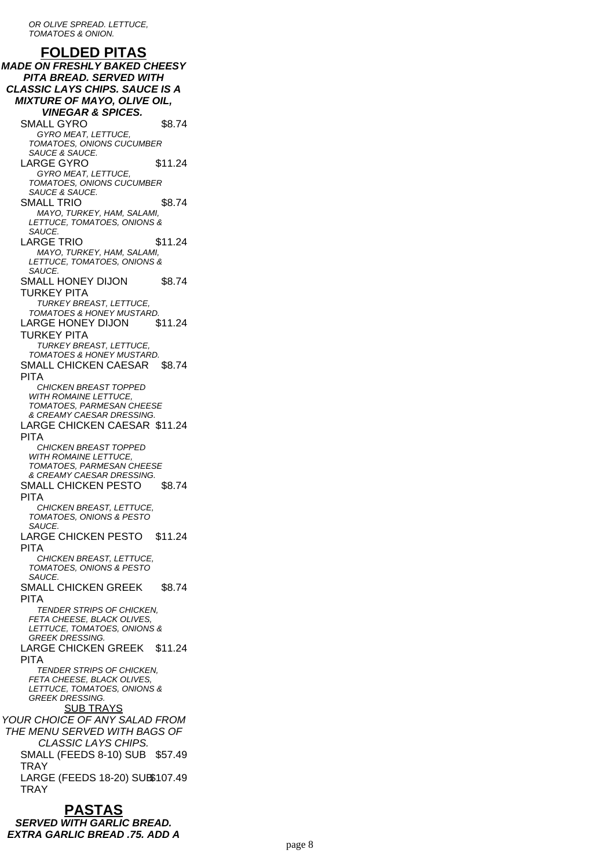**FOLDED PITAS MADE ON FRESHLY BAKED CHEESY PITA BREAD. SERVED WITH CLASSIC LAYS CHIPS. SAUCE IS A MIXTURE OF MAYO, OLIVE OIL, VINEGAR & SPICES.** SMALL GYRO \$8.74 GYRO MEAT, LETTUCE, TOMATOES, ONIONS CUCUMBER SAUCE & SAUCE. LARGE GYRO \$11.24 GYRO MEAT, LETTUCE, TOMATOES, ONIONS CUCUMBER SAUCE & SAUCE. SMALL TRIO \$8.74 MAYO, TURKEY, HAM, SALAMI, LETTUCE, TOMATOES, ONIONS & SAUCE. LARGE TRIO \$11.24 MAYO, TURKEY, HAM, SALAMI, LETTUCE, TOMATOES, ONIONS & SAUCE. SMALL HONEY DIJON TURKEY PITA \$8.74 TURKEY BREAST, LETTUCE, TOMATOES & HONEY MUSTARD. LARGE HONEY DIJON TURKEY PITA \$11.24 TURKEY BREAST, LETTUCE, TOMATOES & HONEY MUSTARD. SMALL CHICKEN CAESAR \$8.74 PITA CHICKEN BREAST TOPPED WITH ROMAINE LETTUCE, TOMATOES, PARMESAN CHEESE & CREAMY CAESAR DRESSING. LARGE CHICKEN CAESAR \$11.24 PITA CHICKEN BREAST TOPPED WITH ROMAINE LETTUCE, TOMATOES, PARMESAN CHEESE & CREAMY CAESAR DRESSING. SMALL CHICKEN PESTO PITA \$8.74 CHICKEN BREAST, LETTUCE, TOMATOES, ONIONS & PESTO SAUCE. LARGE CHICKEN PESTO \$11.24 PITA CHICKEN BREAST, LETTUCE, TOMATOES, ONIONS & PESTO SAUCE. SMALL CHICKEN GREEK PITA \$8.74 TENDER STRIPS OF CHICKEN, FETA CHEESE, BLACK OLIVES, LETTUCE, TOMATOES, ONIONS & GREEK DRESSING. LARGE CHICKEN GREEK \$11.24 PITA TENDER STRIPS OF CHICKEN, FETA CHEESE, BLACK OLIVES, LETTUCE, TOMATOES, ONIONS & GREEK DRESSING. SUB TRAYS YOUR CHOICE OF ANY SALAD FROM THE MENU SERVED WITH BAGS OF CLASSIC LAYS CHIPS. SMALL (FEEDS 8-10) SUB \$57.49 TRAY LARGE (FEEDS 18-20) SUB \$107.49 **TRAY** 

**PASTAS SERVED WITH GARLIC BREAD. EXTRA GARLIC BREAD .75. ADD A**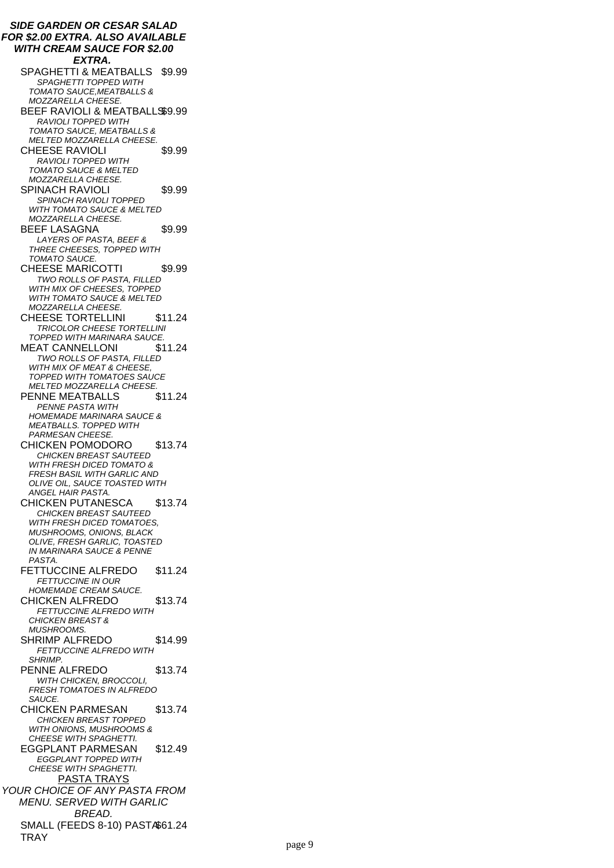#### **SIDE GARDEN OR CESAR SALAD FOR \$2.00 EXTRA. ALSO AVAILABLE WITH CREAM SAUCE FOR \$2.00 EXTRA.** SPAGHETTI & MEATBALLS \$9.99 SPAGHETTI TOPPED WITH TOMATO SAUCE,MEATBALLS & MOZZARELLA CHEESE. BEEF RAVIOLI & MEATBALLS\$9.99 RAVIOLI TOPPED WITH TOMATO SAUCE, MEATBALLS & MELTED MOZZARELLA CHEESE. CHEESE RAVIOLI \$9.99 RAVIOLI TOPPED WITH TOMATO SAUCE & MELTED MOZZARELLA CHEESE. SPINACH RAVIOLI \$9.99 SPINACH RAVIOLI TOPPED WITH TOMATO SAUCE & MELTED MOZZARELLA CHEESE. BEEF LASAGNA \$9.99 LAYERS OF PASTA, BEEF & THREE CHEESES, TOPPED WITH TOMATO SAUCE. CHEESE MARICOTTI \$9.99 TWO ROLLS OF PASTA, FILLED WITH MIX OF CHEESES, TOPPED WITH TOMATO SAUCE & MELTED MOZZARELLA CHEESE. CHEESE TORTELLINI \$11.24 TRICOLOR CHEESE TORTELLINI TOPPED WITH MARINARA SAUCE. MEAT CANNELLONI \$11.24 TWO ROLLS OF PASTA, FILLED WITH MIX OF MEAT & CHEESE, TOPPED WITH TOMATOES SAUCE MELTED MOZZARELLA CHEESE. PENNE MEATBALLS \$11.24 PENNE PASTA WITH HOMEMADE MARINARA SAUCE & MEATBALLS. TOPPED WITH PARMESAN CHEESE. CHICKEN POMODORO \$13.74 CHICKEN BREAST SAUTEED WITH FRESH DICED TOMATO & FRESH BASIL WITH GARLIC AND OLIVE OIL, SAUCE TOASTED WITH ANGEL HAIR PASTA. CHICKEN PUTANESCA \$13.74 CHICKEN BREAST SAUTEED WITH FRESH DICED TOMATOES, MUSHROOMS, ONIONS, BLACK OLIVE, FRESH GARLIC, TOASTED IN MARINARA SAUCE & PENNE PASTA. FETTUCCINE ALFREDO \$11.24 FETTUCCINE IN OUR HOMEMADE CREAM SAUCE. CHICKEN ALFREDO \$13.74 FETTUCCINE ALFREDO WITH CHICKEN BREAST & **MUSHROOMS** SHRIMP ALFREDO \$14.99 FETTUCCINE ALFREDO WITH SHRIMP. PENNE ALFREDO \$13.74 WITH CHICKEN, BROCCOLI, FRESH TOMATOES IN ALFREDO SAUCE. CHICKEN PARMESAN \$13.74 CHICKEN BREAST TOPPED WITH ONIONS, MUSHROOMS & CHEESE WITH SPAGHETTI. EGGPLANT PARMESAN \$12.49 EGGPLANT TOPPED WITH CHEESE WITH SPAGHETTI. PASTA TRAYS YOUR CHOICE OF ANY PASTA FROM MENU. SERVED WITH GARLIC BREAD. SMALL (FEEDS 8-10) PASTA \$61.24 **TRAY**